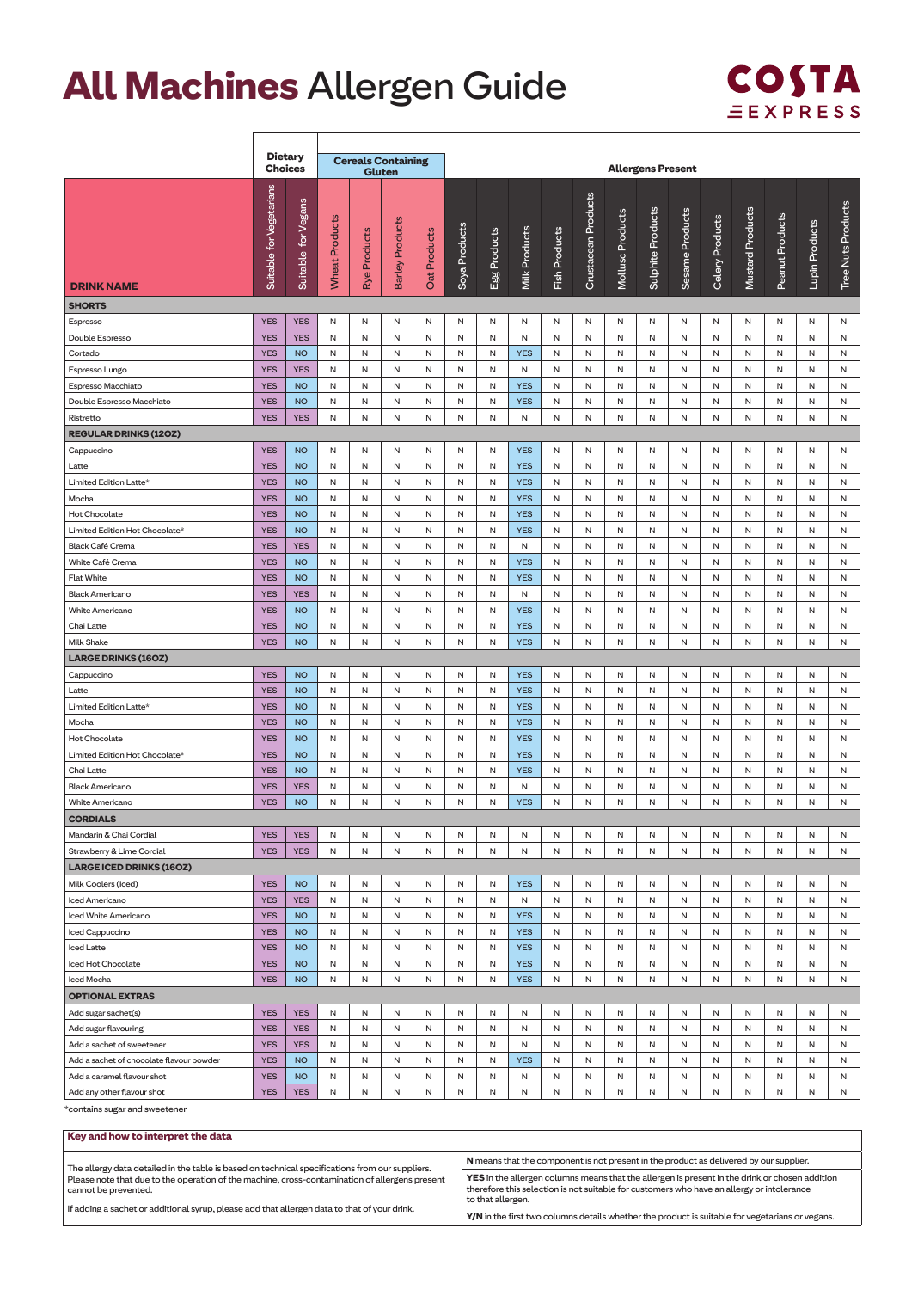## **All Machines** Allergen Guide



 $\overline{\phantom{a}}$ 

|                                                        | <b>Dietary</b>           |                        |                |                                     |                        |              |               |              |                          |               |                     |                  |                          |                 |                 |                  |                 |                |                    |
|--------------------------------------------------------|--------------------------|------------------------|----------------|-------------------------------------|------------------------|--------------|---------------|--------------|--------------------------|---------------|---------------------|------------------|--------------------------|-----------------|-----------------|------------------|-----------------|----------------|--------------------|
|                                                        | <b>Choices</b>           |                        |                | <b>Cereals Containing</b><br>Gluten |                        |              |               |              |                          |               |                     |                  | <b>Allergens Present</b> |                 |                 |                  |                 |                |                    |
|                                                        |                          |                        |                |                                     |                        |              |               |              |                          |               |                     |                  |                          |                 |                 |                  |                 |                |                    |
|                                                        | Suitable for Vegetarians |                        |                |                                     |                        |              |               |              |                          |               | Crustacean Products |                  |                          |                 |                 |                  |                 |                |                    |
|                                                        |                          |                        |                |                                     |                        |              |               |              |                          |               |                     |                  |                          |                 |                 |                  |                 |                |                    |
|                                                        |                          |                        |                |                                     |                        |              |               |              |                          |               |                     |                  |                          |                 |                 |                  |                 |                |                    |
|                                                        |                          |                        |                |                                     |                        |              |               |              |                          |               |                     |                  |                          |                 |                 |                  |                 |                |                    |
|                                                        |                          |                        |                | Products                            |                        |              |               |              |                          |               |                     |                  |                          |                 |                 |                  |                 |                |                    |
| <b>DRINK NAME</b>                                      |                          | Suitable for Vegans    | Wheat Products | Rye                                 | <b>Barley Products</b> | Oat Products | Soya Products | Egg Products | <b>Milk Products</b>     | Fish Products |                     | Mollusc Products | Sulphite Products        | Sesame Products | Celery Products | Mustard Products | Peanut Products | Lupin Products | Tree Nuts Products |
|                                                        |                          |                        |                |                                     |                        |              |               |              |                          |               |                     |                  |                          |                 |                 |                  |                 |                |                    |
| <b>SHORTS</b>                                          |                          |                        |                |                                     |                        |              |               |              |                          |               |                     |                  |                          |                 |                 |                  |                 |                |                    |
| Espresso                                               | <b>YES</b>               | <b>YES</b>             | N              | N                                   | N                      | N            | N             | N            | N                        | N             | N                   | Ν                | N                        | Ν               | Ν               | Ν                | Ν               | N              | N                  |
| Double Espresso                                        | <b>YES</b>               | <b>YES</b>             | N              | N                                   | N                      | N            | N             | N            | N                        | N             | N                   | Ν                | Ν                        | Ν               | N               | Ν                | N               | N              | N                  |
| Cortado                                                | <b>YES</b>               | <b>NO</b>              | N              | N                                   | N                      | N            | N             | N            | <b>YES</b>               | N             | N                   | N                | N                        | N               | N               | N                | N               | N              | N                  |
| Espresso Lungo                                         | <b>YES</b>               | <b>YES</b>             | N              | N                                   | N                      | N            | N             | N            | N                        | Ν             | Ν                   | N                | Ν                        | N               | Ν               | N                | Ν               | N              | Ν                  |
| Espresso Macchiato                                     | <b>YES</b>               | <b>NO</b>              | Ν              | Ν                                   | Ν                      | Ν            | Ν             | Ν            | <b>YES</b>               | Ν             | N                   | N                | N                        | N               | Ν               | N                | Ν               | Ν              | Ν                  |
| Double Espresso Macchiato                              | <b>YES</b>               | <b>NO</b>              | N              | Ν                                   | Ν                      | Ν            | Ν             | Ν<br>N       | <b>YES</b>               | Ν             | Ν                   | Ν                | Ν                        | Ν               | Ν               | Ν                | N               | Ν              | Ν<br>N             |
| Ristretto                                              | <b>YES</b>               | <b>YES</b>             | Ν              | N                                   | Ν                      | N            | Ν             |              | N                        | Ν             | Ν                   | Ν                | Ν                        | Ν               | Ν               | Ν                | Ν               | N              |                    |
| <b>REGULAR DRINKS (120Z)</b>                           |                          |                        |                |                                     |                        |              |               |              |                          |               |                     |                  |                          |                 |                 |                  |                 |                |                    |
| Cappuccino                                             | <b>YES</b>               | <b>NO</b>              | N              | Ν                                   | Ν                      | Ν            | Ν             | Ν            | <b>YES</b>               | Ν             | Ν                   | Ν                | Ν                        | Ν               | Ν               | Ν                | Ν               | Ν              | Ν                  |
| Latte                                                  | <b>YES</b>               | <b>NO</b>              | N              | N                                   | N                      | N            | N             | N            | <b>YES</b>               | N             | Ν                   | Ν                | Ν                        | Ν               | N               | Ν                | N               | N              | N                  |
| Limited Edition Latte*<br>Mocha                        | <b>YES</b><br><b>YES</b> | <b>NO</b><br><b>NO</b> | N<br>N         | N<br>N                              | N<br>N                 | N<br>N       | N<br>N        | N<br>N       | <b>YES</b><br><b>YES</b> | N<br>N        | N<br>N              | Ν<br>N           | N<br>N                   | Ν<br>N          | Ν<br>N          | Ν<br>N           | Ν<br>N          | N<br>N         | N<br>N             |
|                                                        | <b>YES</b>               | <b>NO</b>              |                |                                     |                        |              |               | N            |                          |               |                     |                  |                          |                 |                 |                  |                 |                |                    |
| <b>Hot Chocolate</b><br>Limited Edition Hot Chocolate* | <b>YES</b>               | <b>NO</b>              | N<br>N         | N<br>Ν                              | N<br>N                 | N<br>Ν       | N<br>N        | Ν            | <b>YES</b><br><b>YES</b> | N<br>Ν        | N<br>Ν              | N<br>Ν           | Ν<br>N                   | N<br>Ν          | Ν<br>Ν          | N<br>N           | Ν<br>N          | N<br>Ν         | N<br>Ν             |
| Black Café Crema                                       | <b>YES</b>               | <b>YES</b>             | N              | N                                   | N                      | Ν            | N             | Ν            | N                        | N             | Ν                   | Ν                | Ν                        | Ν               | N               | Ν                | Ν               | Ν              | N                  |
| White Café Crema                                       | <b>YES</b>               | <b>NO</b>              | N              | N                                   | N                      | N            | N             | N            | <b>YES</b>               | N             | N                   | Ν                | Ν                        | Ν               | Ν               | Ν                | Ν               | Ν              | Ν                  |
| <b>Flat White</b>                                      | <b>YES</b>               | <b>NO</b>              | N              | N                                   | N                      | N            | N             | N            | <b>YES</b>               | N             | N                   | N                | N                        | N               | N               | N                | N               | N              | N                  |
| <b>Black Americano</b>                                 | <b>YES</b>               | <b>YES</b>             | N              | N                                   | N                      | N            | N             | N            | N                        | N             | N                   | Ν                | N                        | N               | Ν               | N                | Ν               | N              | N                  |
| White Americano                                        | <b>YES</b>               | <b>NO</b>              | N              | N                                   | Ν                      | Ν            | Ν             | N            | <b>YES</b>               | N             | Ν                   | Ν                | Ν                        | N               | N               | N                | Ν               | Ν              | N                  |
| Chai Latte                                             | <b>YES</b>               | <b>NO</b>              | Ν              | Ν                                   | Ν                      | Ν            | Ν             | Ν            | <b>YES</b>               | Ν             | N                   | N                | N                        | N               | Ν               | N                | Ν               | Ν              | Ν                  |
| <b>Milk Shake</b>                                      | <b>YES</b>               | <b>NO</b>              | N              | Ν                                   | N                      | Ν            | N             | Ν            | <b>YES</b>               | Ν             | Ν                   | Ν                | Ν                        | Ν               | Ν               | Ν                | Ν               | Ν              | N                  |
| <b>LARGE DRINKS (160Z)</b>                             |                          |                        |                |                                     |                        |              |               |              |                          |               |                     |                  |                          |                 |                 |                  |                 |                |                    |
| Cappuccino                                             | <b>YES</b>               | <b>NO</b>              | N              | Ν                                   | N                      | N            | N             | N            | <b>YES</b>               | N             | Ν                   | Ν                | Ν                        | N               | Ν               | N                | N               | Ν              | N                  |
| Latte                                                  | <b>YES</b>               | <b>NO</b>              | N              | Ν                                   | Ν                      | Ν            | Ν             | Ν            | <b>YES</b>               | Ν             | Ν                   | Ν                | N                        | Ν               | Ν               | N                | Ν               | Ν              | Ν                  |
| Limited Edition Latte*                                 | <b>YES</b>               | <b>NO</b>              | N              | N                                   | N                      | N            | N             | N            | <b>YES</b>               | Ν             | Ν                   | Ν                | Ν                        | Ν               | N               | Ν                | N               | N              | N                  |
| Mocha                                                  | <b>YES</b>               | <b>NO</b>              | N              | N                                   | N                      | N            | N             | N            | <b>YES</b>               | N             | N                   | N                | N                        | N               | N               | Ν                | N               | N              | N                  |
| Hot Chocolate                                          | <b>YES</b>               | <b>NO</b>              | N              | N                                   | N                      | N            | N             | N            | <b>YES</b>               | N             | N                   | Ν                | N                        | N               | Ν               | N                | Ν               | N              | N                  |
| Limited Edition Hot Chocolate*                         | <b>YES</b>               | <b>NO</b>              | N              | N                                   | N                      | N            | N             | N            | <b>YES</b>               | N             | Ν                   | N                | Ν                        | N               | N               | Ν                | Ν               | Ν              | N                  |
| Chai Latte                                             | <b>YES</b>               | <b>NO</b>              | Ν              | Ν                                   | Ν                      | Ν            | Ν             | Ν            | <b>YES</b>               | Ν             | N                   | N                | N                        | N               | Ν               | N                | Ν               | Ν              | Ν                  |
| <b>Black Americano</b>                                 | <b>YES</b>               | <b>YES</b>             | N              | N                                   | N                      | $\mathsf N$  | N             | N            | N                        | N             | N                   | N                | N                        | N               | Ν               | N                | N               | N              | N                  |
| White Americano                                        | <b>YES</b>               | <b>NO</b>              | N              | N                                   | N                      | N            | N             | N            | <b>YES</b>               | N             | N                   | Ν                | N                        | N               | Ν               | Ν                | Ν               | N              | N                  |
| <b>CORDIALS</b>                                        |                          |                        |                |                                     |                        |              |               |              |                          |               |                     |                  |                          |                 |                 |                  |                 |                |                    |
| Mandarin & Chai Cordial                                | <b>YES</b>               | <b>YES</b>             | N              | N                                   | N                      | N            | N             | N            | N                        | N             | N                   | N                | Ν                        | N               | N               | N                | N               | N              | N                  |
| Strawberry & Lime Cordial                              | <b>YES</b>               | <b>YES</b>             | Ν              | N                                   | N                      | N            | N             | N            | N                        | N             | N                   | Ν                | Ν                        | Ν               | Ν               | Ν                | Ν               | N              | N                  |
| <b>LARGE ICED DRINKS (160Z)</b>                        |                          |                        |                |                                     |                        |              |               |              |                          |               |                     |                  |                          |                 |                 |                  |                 |                |                    |
| Milk Coolers (Iced)                                    | <b>YES</b>               | <b>NO</b>              | N              | N                                   | N                      | N            | N             | N            | <b>YES</b>               | N             | N                   | Ν                | N                        | Ν               | Ν               | Ν                | N               | N              | N                  |
| Iced Americano                                         | <b>YES</b>               | <b>YES</b>             | N              | N                                   | N                      | N            | N             | N            | N                        | N             | N                   | N                | N                        | N               | Ν               | N                | Ν               | Ν              | N                  |
| Iced White Americano                                   | <b>YES</b>               | <b>NO</b>              | N              | N                                   | N                      | N            | N             | N            | <b>YES</b>               | N             | N                   | N                | N                        | N               | N               | N                | N               | N              | N                  |
| Iced Cappuccino                                        | <b>YES</b>               | <b>NO</b>              | N              | N                                   | N                      | N            | N             | N            | <b>YES</b>               | N             | N                   | N                | N                        | N               | N               | N                | N               | N              | N                  |
| Iced Latte                                             | <b>YES</b>               | <b>NO</b>              | N              | N                                   | N                      | N            | N             | N            | <b>YES</b>               | N             | N                   | N                | N                        | N               | Ν               | N                | Ν               | N              | N                  |
| Iced Hot Chocolate                                     | <b>YES</b>               | <b>NO</b>              | N              | Ν                                   | N                      | Ν            | N             | N            | <b>YES</b>               | N             | N                   | N                | Ν                        | N               | Ν               | N                | Ν               | Ν              | N                  |
| Iced Mocha                                             | <b>YES</b>               | <b>NO</b>              | N              | N                                   | N                      | N            | N             | N            | <b>YES</b>               | Ν             | N                   | Ν                | Ν                        | Ν               | Ν               | Ν                | Ν               | N              | N                  |
| <b>OPTIONAL EXTRAS</b>                                 |                          |                        |                |                                     |                        |              |               |              |                          |               |                     |                  |                          |                 |                 |                  |                 |                |                    |
| Add sugar sachet(s)                                    | <b>YES</b>               | <b>YES</b>             | N              | N                                   | N                      | N            | N             | N            | N                        | N             | Ν                   | N                | Ν                        | N               | N               | N                | N               | Ν              | N                  |
| Add sugar flavouring                                   | <b>YES</b>               | <b>YES</b>             | N              | N                                   | N                      | N            | N             | Ν            | N                        | Ν             | N                   | Ν                | Ν                        | Ν               | Ν               | Ν                | Ν               | N              | N                  |
| Add a sachet of sweetener                              | <b>YES</b>               | <b>YES</b>             | N              | N                                   | N                      | N            | N             | N            | N                        | N             | N                   | N                | N                        | N               | Ν               | N                | N               | N              | N                  |
| Add a sachet of chocolate flavour powder               | <b>YES</b>               | <b>NO</b>              | N              | N                                   | N                      | N            | N             | N            | <b>YES</b>               | N             | N                   | N                | N                        | N               | N               | Ν                | N               | N              | N                  |
| Add a caramel flavour shot                             | <b>YES</b>               | <b>NO</b>              | N              | N                                   | N                      | N            | N             | N            | N                        | N             | N                   | N                | N                        | N               | N               | N                | N               | N              | N                  |
| Add any other flavour shot                             | <b>YES</b>               | <b>YES</b>             | N              | N                                   | N                      | N            | N             | N            | N                        | N             | N                   | Ν                | N                        | N               | N               | N                | N               | N              | N                  |

\*contains sugar and sweetener

| Key and how to interpret the data                                                                                      |                                                                                                                                                                                                                         |
|------------------------------------------------------------------------------------------------------------------------|-------------------------------------------------------------------------------------------------------------------------------------------------------------------------------------------------------------------------|
| The allergy data detailed in the table is based on technical specifications from our suppliers.                        | N means that the component is not present in the product as delivered by our supplier.                                                                                                                                  |
| Please note that due to the operation of the machine, cross-contamination of allergens present<br>cannot be prevented. | <b>YES</b> in the allergen columns means that the allergen is present in the drink or chosen addition<br>therefore this selection is not suitable for customers who have an allergy or intolerance<br>to that allergen. |
| If adding a sachet or additional syrup, please add that allergen data to that of your drink.                           | Y/N in the first two columns details whether the product is suitable for vegetarians or vegans.                                                                                                                         |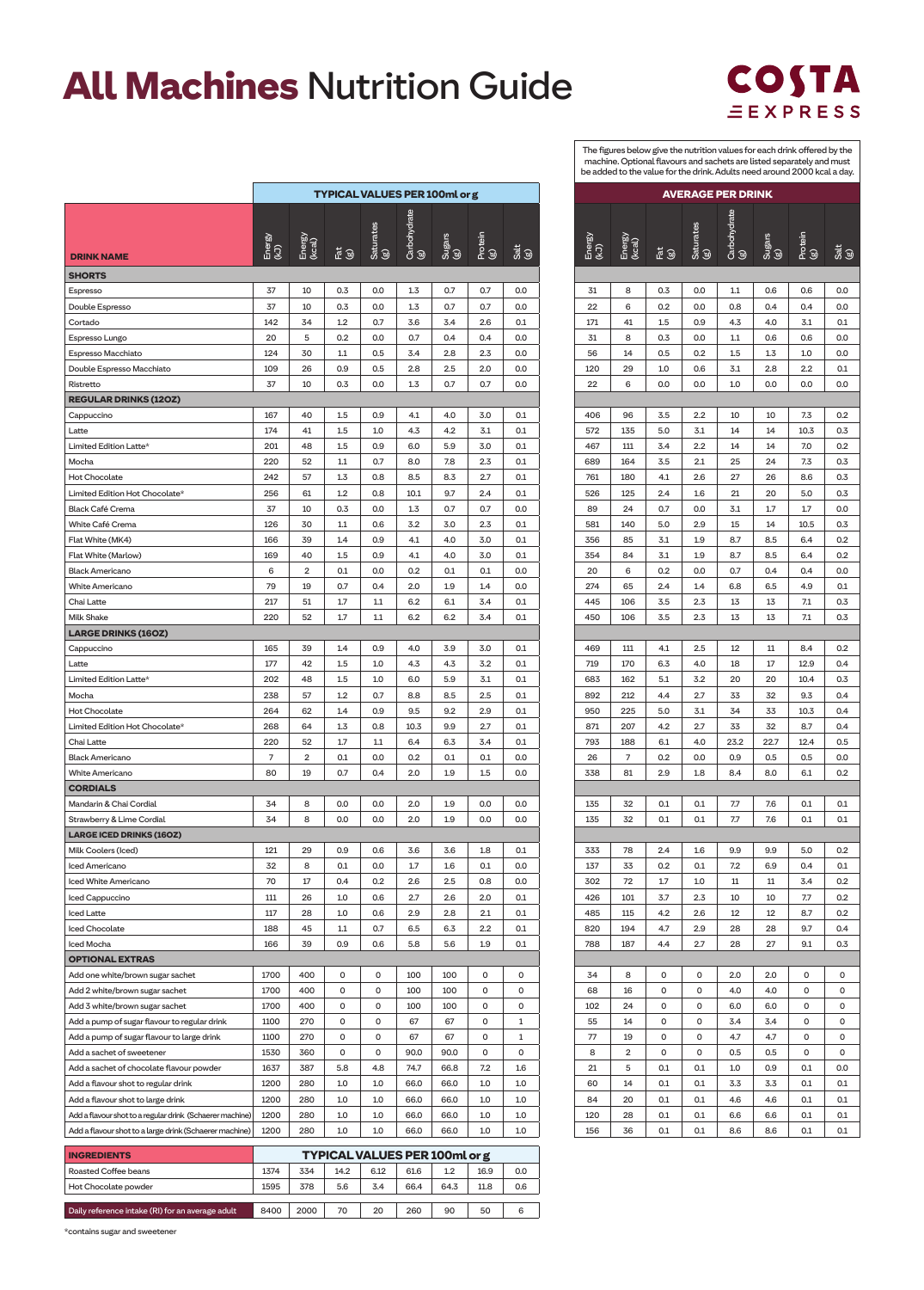## **All Machines** Nutrition Guide



The figures below give the nutrition values for each drink offered by the machine. Optional flavours and sachets are listed separately and must be added to the value for the drink. Adults need around 2000 kcal a day.

|                |                  |        | <b>AVERAGE PER DRINK</b> |      |               |                |             |
|----------------|------------------|--------|--------------------------|------|---------------|----------------|-------------|
| Energy<br>(kJ) | Energy<br>(kcal) |        | Saturates<br>බ           | ම    | Sugars<br>(g) | Protein<br>(g) | Salt<br>(g) |
|                |                  |        |                          |      |               |                |             |
| 31             | 8                | 0.3    | 0.0                      | 1.1  | 0.6           | 0.6            | 0.0         |
| 22             | 6                | 0.2    | 0.0                      | 0.8  | 0.4           | 0.4            | 0.0         |
| 171            | 41               | 1.5    | 0.9                      | 4.3  | 4.0           | 3.1            | 0.1         |
| 31             | 8                | 0.3    | 0.0                      | 1.1  | 0.6           | 0.6            | 0.0         |
| 56             | 14               | 0.5    | 0.2                      | 1.5  | 1.3           | 1.0            | 0.0         |
| 120            | 29               | 1.0    | 0.6                      | 3.1  | 2.8           | 2.2            | 0.1         |
| 22             | 6                | 0.0    | 0.0                      | 1.0  | 0.0           | 0.0            | 0.0         |
|                |                  |        |                          |      |               |                |             |
| 406            | 96               | 3.5    | 2.2                      | 10   | 10            | 7.3            | 0.2         |
| 572            | 135              | 5.0    | 3.1                      | 14   | 14            | 10.3           | 0.3         |
| 467            | 111              | 3.4    | 2.2                      | 14   | 14            | 7.0            | 0.2         |
| 689            | 164              | 3.5    | 2.1                      | 25   | 24            | 7.3            | 0.3         |
| 761            | 180              | 4.1    | 2.6                      | 27   | 26            | 8.6            | 0.3         |
| 526            | 125              | 2.4    | 1.6                      | 21   | 20            | 5.0            | 0.3         |
| 89             | 24               | 0.7    | 0.0                      | 3.1  | 1.7           | 1.7            | 0.0         |
| 581            | 140              | 5.0    | 2.9                      | 15   | 14            | 10.5           | 0.3         |
| 356            | 85               | 3.1    | 1.9                      | 8.7  | 8.5           | 6.4            | 0.2         |
| 354            | 84               | 3.1    | 1.9                      | 8.7  | 8.5           | 6.4            | 0.2         |
| 20             | 6                | 0.2    | 0.0                      | 0.7  | 0.4           | 0.4            | 0.0         |
| 274            | 65               | 2.4    | 1.4                      | 6.8  | 6.5           | 4.9            | 0.1         |
| 445            | 106              | 3.5    | 2.3                      | 13   | 13            | 7.1            | 0.3         |
| 450            | 106              | 3.5    | 2.3                      | 13   | 13            | 7.1            | 0.3         |
|                |                  |        |                          |      |               |                |             |
| 469            | 111              | 4.1    | 2.5                      | 12   | 11            | 8.4            | 0.2         |
| 719            | 170              | 6.3    | 4.0                      | 18   | 17            | 12.9           | 0.4         |
| 683            | 162              | 5.1    | 3.2                      | 20   | 20            | 10.4           | 0.3         |
| 892            | 212              | 4.4    | 2.7                      | 33   | 32            | 9.3            | 0.4         |
| 950            | 225              | 5.0    | 3.1                      | 34   | 33            | 10.3           | 0.4         |
| 871            | 207              | 4.2    | 2.7                      | 33   | 32            | 8.7            | 0.4         |
| 793            | 188              | 6.1    | 4.0                      | 23.2 | 22.7          | 12.4           | 0.5         |
| 26             | 7                | 0.2    | 0.0                      | 0.9  | 0.5           | 0.5            | 0.0         |
| 338            | 81               | 2.9    | 1.8                      | 8.4  | 8.0           | 6.1            | 0.2         |
|                |                  |        |                          |      |               |                |             |
| 135            | 32               | 0.1    | 0.1                      | 7.7  | 7.6           | 0.1            | 0.1         |
| 135            | 32               | 0.1    | 0.1                      | 7.7  | 7.6           | 0.1            | 0.1         |
|                |                  |        |                          |      |               |                |             |
| 333            | 78               | 2.4    | 1.6                      | 9.9  | 9.9           | 5.0            | 0.2         |
| 137            | 33               | 0.2    | 0.1                      | 7.2  | 6.9           | 0.4            | 0.1         |
| 302            | 72               | 1.7    | $1.0\,$                  | 11   | 11            | 3.4            | 0.2         |
| 426            | 101              | 3.7    | 2.3                      | 10   | 10            | 7.7            | 0.2         |
| 485            | 115              | 4.2    | 2.6                      | 12   | 12            | 8.7            | 0.2         |
| 820            | 194              | 4.7    | 2.9                      | 28   | 28            | 9.7            | 0.4         |
| 788            | 187              | 4.4    | 2.7                      | 28   | 27            | 9.1            | 0.3         |
|                |                  |        |                          |      |               |                |             |
| 34             | 8                | 0      | 0                        | 2.0  | 2.0           | 0              | 0           |
| 68             | 16               | 0      | 0                        | 4.0  | 4.0           | 0              | 0<br>0      |
| 102<br>55      | 24<br>14         | 0<br>0 | 0<br>0                   | 6.0  | 6.0           | 0<br>0         | 0           |
|                |                  |        |                          | 3.4  | 3.4           |                |             |
| 77             | 19               | 0      | 0                        | 4.7  | 4.7           | 0              | 0           |
| 8              | 2                | 0      | 0                        | 0.5  | 0.5           | 0              | 0           |
| 21             | 5                | 0.1    | 0.1                      | 1.0  | 0.9           | 0.1            | 0.0         |
| 60<br>84       | 14               | 0.1    | 0.1                      | 3.3  | 3.3           | 0.1            | 0.1         |
|                | 20               | 0.1    | 0.1                      | 4.6  | 4.6           | 0.1            | 0.1         |
| 120            | 28               | 0.1    | 0.1                      | 6.6  | 6.6           | 0.1            | 0.1         |
| 156            | 36               | 0.1    | 0.1                      | 8.6  | 8.6           | 0.1            | 0.1         |

|                                                          |                |                  |                | <b>TYPICAL VALUES PER 100ml or g</b> |                     |               |                |              |                |                  |                   |                  | <b>AVERAGE PER DRINK</b> |               |                |                 |
|----------------------------------------------------------|----------------|------------------|----------------|--------------------------------------|---------------------|---------------|----------------|--------------|----------------|------------------|-------------------|------------------|--------------------------|---------------|----------------|-----------------|
| <b>DRINK NAME</b>                                        | Energy<br>(kJ) | Energy<br>(kcal) | <u>ដ</u> ៃ ថ្ង | Saturates<br>(g)                     | Carbohydrate<br>(g) | Sugars<br>(g) | Protein<br>(g) | Salt<br>(g)  | Energy<br>(kJ) | Energy<br>(kcal) | $\vec{E}$ $\odot$ | Saturates<br>(g) | Carbohydrate<br>(g)      | Sugars<br>(g) | Protein<br>(g) | Salt            |
| <b>SHORTS</b>                                            |                |                  |                |                                      |                     |               |                |              |                |                  |                   |                  |                          |               |                |                 |
| Espresso                                                 | 37             | 10               | 0.3            | 0.0                                  | $1.3\phantom{0}$    | 0.7           | 0.7            | 0.0          | 31             | 8                | 0.3               | 0.0              | $1.1$                    | 0.6           | 0.6            | 0. <sub>C</sub> |
| Double Espresso                                          | 37             | 10               | 0.3            | 0.0                                  | 1.3                 | 0.7           | 0.7            | 0.0          | 22             | 6                | 0.2               | 0.0              | 0.8                      | 0.4           | 0.4            | 0. <sub>C</sub> |
| Cortado                                                  | 142            | 34               | 1.2            | 0.7                                  | 3.6                 | 3.4           | 2.6            | 0.1          | 171            | 41               | 1.5               | 0.9              | 4.3                      | 4.0           | 3.1            | 0.1             |
| Espresso Lungo                                           | 20             | 5                | 0.2            | 0.0                                  | 0.7                 | 0.4           | 0.4            | 0.0          | 31             | 8                | 0.3               | 0.0              | $1.1\,$                  | 0.6           | 0.6            | 0. <sub>C</sub> |
| Espresso Macchiato                                       | 124            | 30               | 1.1            | 0.5                                  | 3.4                 | 2.8           | 2.3            | 0.0          | 56             | 14               | 0.5               | 0.2              | 1.5                      | 1.3           | 1.0            | 0. <sub>C</sub> |
| Double Espresso Macchiato                                | 109            | 26               | 0.9            | 0.5                                  | 2.8                 | 2.5           | 2.0            | 0.0          | 120            | 29               | 1.0               | 0.6              | 3.1                      | 2.8           | 2.2            | 0.1             |
| Ristretto                                                | 37             | 10               | 0.3            | 0.0                                  | $1.3\phantom{0}$    | 0.7           | 0.7            | 0.0          | 22             | 6                | 0.0               | 0.0              | 1.0                      | 0.0           | 0.0            | 0. <sub>C</sub> |
| <b>REGULAR DRINKS (120Z)</b>                             |                |                  |                |                                      |                     |               |                |              |                |                  |                   |                  |                          |               |                |                 |
| Cappuccino                                               | 167            | 40               | 1.5            | 0.9                                  | 4.1                 | 4.0           | 3.0            | 0.1          | 406            | 96               | 3.5               | 2.2              | 10                       | 10            | 7.3            | 0.2             |
| Latte                                                    | 174            | 41               | 1.5            | 1.0                                  | 4.3                 | 4.2           | 3.1            | 0.1          | 572            | 135              | 5.0               | 3.1              | 14                       | 14            | 10.3           | 0.3             |
| Limited Edition Latte*                                   | 201            | 48               | 1.5            | 0.9                                  | 6.0                 | 5.9           | 3.0            | 0.1          | 467            | 111              | 3.4               | 2.2              | 14                       | 14            | 7.0            | 0.2             |
| Mocha                                                    | 220            | 52               | 1.1            | 0.7                                  | 8.0                 | 7.8           | 2.3            | $0.1\,$      | 689            | 164              | 3.5               | 2.1              | 25                       | 24            | 7.3            | 0.3             |
| Hot Chocolate                                            | 242            | 57               | 1.3            | 0.8                                  | 8.5                 | 8.3           | 2.7            | 0.1          | 761            | 180              | 4.1               | 2.6              | 27                       | 26            | 8.6            | 0.3             |
| Limited Edition Hot Chocolate*                           | 256            | 61               | 1.2            | 0.8                                  | 10.1                | 9.7           | 2.4            | 0.1          | 526            | 125              | 2.4               | 1.6              | 21                       | 20            | 5.0            | 0.3             |
| <b>Black Café Crema</b>                                  | 37             | 10               | 0.3            | 0.0                                  | $1.3\phantom{0}$    | 0.7           | 0.7            | 0.0          | 89             | 24               | 0.7               | 0.0              | 3.1                      | 1.7           | 1.7            | 0. <sub>C</sub> |
| White Café Crema                                         | 126            | 30               | $1.1$          | 0.6                                  | 3.2                 | 3.0           | 2.3            | 0.1          | 581            | 140              | 5.0               | 2.9              | 15                       | 14            | 10.5           | 0.3             |
| Flat White (MK4)                                         | 166            | 39               | 1.4            | 0.9                                  | 4.1                 | 4.0           | 3.0            | 0.1          | 356            | 85               | 3.1               | 1.9              | 8.7                      | 8.5           | 6.4            | 0.2             |
| Flat White (Marlow)                                      | 169            | 40               | 1.5            | 0.9                                  | 4.1                 | 4.0           | 3.0            | 0.1          | 354            | 84               | 3.1               | 1.9              | 8.7                      | 8.5           | 6.4            | 0.2             |
| <b>Black Americano</b>                                   | 6              | $\overline{2}$   | 0.1            | 0.0                                  | 0.2                 | 0.1           | 0.1            | 0.0          | 20             | 6                | 0.2               | 0.0              | 0.7                      | 0.4           | 0.4            | 0. <sub>C</sub> |
| <b>White Americano</b>                                   | 79             | 19               | 0.7            | 0.4                                  | 2.0                 | 1.9           | 1.4            | 0.0          | 274            | 65               | 2.4               | $1.4\,$          | 6.8                      | 6.5           | 4.9            | 0.1             |
| Chai Latte                                               | 217            | 51               | 1.7            | 1.1                                  | 6.2                 | 6.1           | 3.4            | 0.1          | 445            | 106              | 3.5               | 2.3              | 13                       | 13            | 7.1            | 0.3             |
| <b>Milk Shake</b>                                        | 220            | 52               | 1.7            | 1.1                                  | 6.2                 | 6.2           | 3.4            | 0.1          | 450            | 106              | 3.5               | 2.3              | 13                       | 13            | 7.1            | 0.3             |
| <b>LARGE DRINKS (160Z)</b>                               |                |                  |                |                                      |                     |               |                |              |                |                  |                   |                  |                          |               |                |                 |
| Cappuccino                                               | 165            | 39               | 1.4            | 0.9                                  | 4.0                 | 3.9           | 3.0            | 0.1          | 469            | 111              | 4.1               | 2.5              | 12                       | 11            | 8.4            | 0.2             |
| Latte                                                    | 177            | 42               | 1.5            | 1.0                                  | 4.3                 | 4.3           | 3.2            | 0.1          | 719            | 170              | 6.3               | 4.0              | 18                       | 17            | 12.9           | 0.4             |
| Limited Edition Latte*                                   | 202            | 48               | 1.5            | 1.0                                  | 6.0                 | 5.9           | 3.1            | 0.1          | 683            | 162              | 5.1               | 3.2              | 20                       | 20            | 10.4           | 0.3             |
| Mocha                                                    | 238            | 57               | 1.2            | 0.7                                  | 8.8                 | 8.5           | 2.5            | 0.1          | 892            | 212              | 4.4               | 2.7              | 33                       | 32            | 9.3            | 0.4             |
| <b>Hot Chocolate</b>                                     | 264            | 62               | 1.4            | 0.9                                  | 9.5                 | 9.2           | 2.9            | 0.1          | 950            | 225              | 5.0               | 3.1              | 34                       | 33            | 10.3           | 0.4             |
| Limited Edition Hot Chocolate*                           | 268            | 64               | 1.3            | 0.8                                  | 10.3                | 9.9           | 2.7            | 0.1          | 871            | 207              | 4.2               | 2.7              | 33                       | 32            | 8.7            | 0.4             |
| Chai Latte                                               | 220            | 52               | 1.7            | 1.1                                  | 6.4                 | 6.3           | 3.4            | 0.1          | 793            | 188              | 6.1               | 4.0              | 23.2                     | 22.7          | 12.4           | 0.5             |
| <b>Black Americano</b>                                   | $\overline{7}$ | $\overline{2}$   | 0.1            | 0.0                                  | 0.2                 | 0.1           | 0.1            | 0.0          | 26             | $\overline{7}$   | 0.2               | 0.0              | 0.9                      | 0.5           | 0.5            | 0. <sub>C</sub> |
| White Americano                                          | 80             | 19               | 0.7            | 0.4                                  | 2.0                 | 1.9           | 1.5            | 0.0          | 338            | 81               | 2.9               | 1.8              | 8.4                      | 8.0           | 6.1            | 0.2             |
| <b>CORDIALS</b>                                          |                |                  |                |                                      |                     |               |                |              |                |                  |                   |                  |                          |               |                |                 |
| Mandarin & Chai Cordial                                  | 34             | 8                | 0.0            | 0.0                                  | 2.0                 | 1.9           | 0.0            | 0.0          | 135            | 32               | 0.1               | 0.1              | 7.7                      | 7.6           | 0.1            |                 |
| Strawberry & Lime Cordial                                | 34             | 8                | 0.0            | 0.0                                  | 2.0                 | 1.9           | 0.0            | 0.0          | 135            | 32               | 0.1               | 0.1              | 7.7                      | 7.6           | 0.1            | 0.1<br>0.1      |
| <b>LARGE ICED DRINKS (160Z)</b>                          |                |                  |                |                                      |                     |               |                |              |                |                  |                   |                  |                          |               |                |                 |
| Milk Coolers (Iced)                                      | 121            | 29               | 0.9            | 0.6                                  | 3.6                 | 3.6           | 1.8            | 0.1          | 333            | 78               | 2.4               | 1.6              | 9.9                      | 9.9           | 5.0            | 0.2             |
| Iced Americano                                           | 32             | 8                | 0.1            | 0.0                                  | 1.7                 | 1.6           | 0.1            | 0.0          | 137            | 33               | 0.2               | 0.1              | 7.2                      | 6.9           | 0.4            | 0.1             |
| Iced White Americano                                     | 70             | 17               | 0.4            | 0.2                                  | 2.6                 | 2.5           | 0.8            | 0.0          | 302            | 72               | 1.7               | 1.0              | 11                       | 11            | 3.4            | 0.2             |
| Iced Cappuccino                                          | 111            | 26               | 1.0            | 0.6                                  | 2.7                 | 2.6           | 2.0            | 0.1          | 426            | 101              | 3.7               | 2.3              | 10                       | 10            | 7.7            | 0.2             |
| Iced Latte                                               | 117            | 28               | 1.0            | 0.6                                  | 2.9                 | 2.8           | 2.1            | 0.1          | 485            | 115              | 4.2               | 2.6              | 12                       | 12            | 8.7            |                 |
| Iced Chocolate                                           | 188            | 45               | 1.1            | 0.7                                  | 6.5                 | 6.3           | 2.2            | 0.1          | 820            | 194              | 4.7               | 2.9              | 28                       | 28            | 9.7            | 0.4             |
| Iced Mocha                                               | 166            | 39               | 0.9            | 0.6                                  | 5.8                 | 5.6           | 1.9            | 0.1          | 788            | 187              | 4.4               | 2.7              | 28                       | 27            | 9.1            | 0.3             |
| <b>OPTIONAL EXTRAS</b>                                   |                |                  |                |                                      |                     |               |                |              |                |                  |                   |                  |                          |               |                |                 |
|                                                          | 1700           | 400              | 0              | $\circ$                              | 100                 | 100           | 0              | 0            | 34             | 8                | 0                 | 0                | 2.0                      | 2.0           | 0              |                 |
| Add one white/brown sugar sachet                         | 1700           | 400              | 0              | 0                                    | 100                 | 100           | 0              | $\mathsf{O}$ | 68             |                  | 0                 | 0                | 4.0                      |               | 0              |                 |
| Add 2 white/brown sugar sachet                           |                |                  |                |                                      |                     |               |                |              |                | 16               |                   |                  |                          | 4.0           |                |                 |
| Add 3 white/brown sugar sachet                           | 1700           | 400              | 0              | 0                                    | 100                 | 100           | 0              | 0            | 102            | 24               | 0                 | 0                | 6.0                      | 6.0           | 0              |                 |
| Add a pump of sugar flavour to regular drink             | 1100           | 270              | 0              | $\mathsf{O}$                         | 67                  | 67            | 0              | 1            | 55             | 14               | $\mathsf{o}\,$    | 0                | 3.4                      | 3.4           | 0              |                 |
| Add a pump of sugar flavour to large drink               | 1100           | 270              | 0              | 0                                    | 67                  | 67            | 0              | 1            | 77             | 19               | 0                 | 0                | 4.7                      | 4.7           | 0              |                 |
| Add a sachet of sweetener                                | 1530           | 360              | 0              | 0                                    | 90.0                | 90.0          | 0              | $\mathbf 0$  | 8              | $\overline{2}$   | 0                 | 0                | 0.5                      | 0.5           | 0              |                 |
| Add a sachet of chocolate flavour powder                 | 1637           | 387              | 5.8            | 4.8                                  | 74.7                | 66.8          | 7.2            | 1.6          | 21             | 5                | 0.1               | 0.1              | 1.0                      | 0.9           | 0.1            | 0. <sub>C</sub> |
| Add a flavour shot to regular drink                      | 1200           | 280              | 1.0            | 1.0                                  | 66.0                | 66.0          | 1.0            | 1.0          | 60             | 14               | 0.1               | 0.1              | 3.3                      | 3.3           | 0.1            |                 |
| Add a flavour shot to large drink                        | 1200           | 280              | 1.0            | 1.0                                  | 66.0                | 66.0          | 1.0            | 1.0          | 84             | 20               | 0.1               | 0.1              | 4.6                      | 4.6           | 0.1            | 0.1             |
| Add a flavour shot to a regular drink (Schaerer machine) | 1200           | 280              | 1.0            | 1.0                                  | 66.0                | 66.0          | 1.0            | 1.0          | 120            | 28               | 0.1               | 0.1              | 6.6                      | 6.6           | 0.1            | 0.1             |
| Add a flavour shot to a large drink (Schaerer machine)   | 1200           | 280              | 1.0            | 1.0                                  | 66.0                | 66.0          | 1.0            | 1.0          | 156            | 36               | 0.1               | 0.1              | 8.6                      | 8.6           | 0.1            | 0.1             |
| <b>INGPEDIENTS</b>                                       |                |                  |                | <b>TVDICAL VALUES DED 100ml or a</b> |                     |               |                |              |                |                  |                   |                  |                          |               |                |                 |

| <b>INGREDIENTS</b>                               | <b>TYPICAL VALUES PER 100ml or g</b> |      |      |      |      |      |      |     |  |  |  |  |
|--------------------------------------------------|--------------------------------------|------|------|------|------|------|------|-----|--|--|--|--|
| Roasted Coffee beans                             | 1374                                 | 334  | 14.2 | 6.12 | 61.6 | 1.2  | 16.9 | 0.0 |  |  |  |  |
| Hot Chocolate powder                             | 1595                                 | 378  | 5.6  | 3.4  | 66.4 | 64.3 | 11.8 | 0.6 |  |  |  |  |
|                                                  |                                      |      |      |      |      |      |      |     |  |  |  |  |
| Daily reference intake (RI) for an average adult | 8400                                 | 2000 | 70   | 20   | 260  | 90   | 50   | 6   |  |  |  |  |

\*contains sugar and sweetener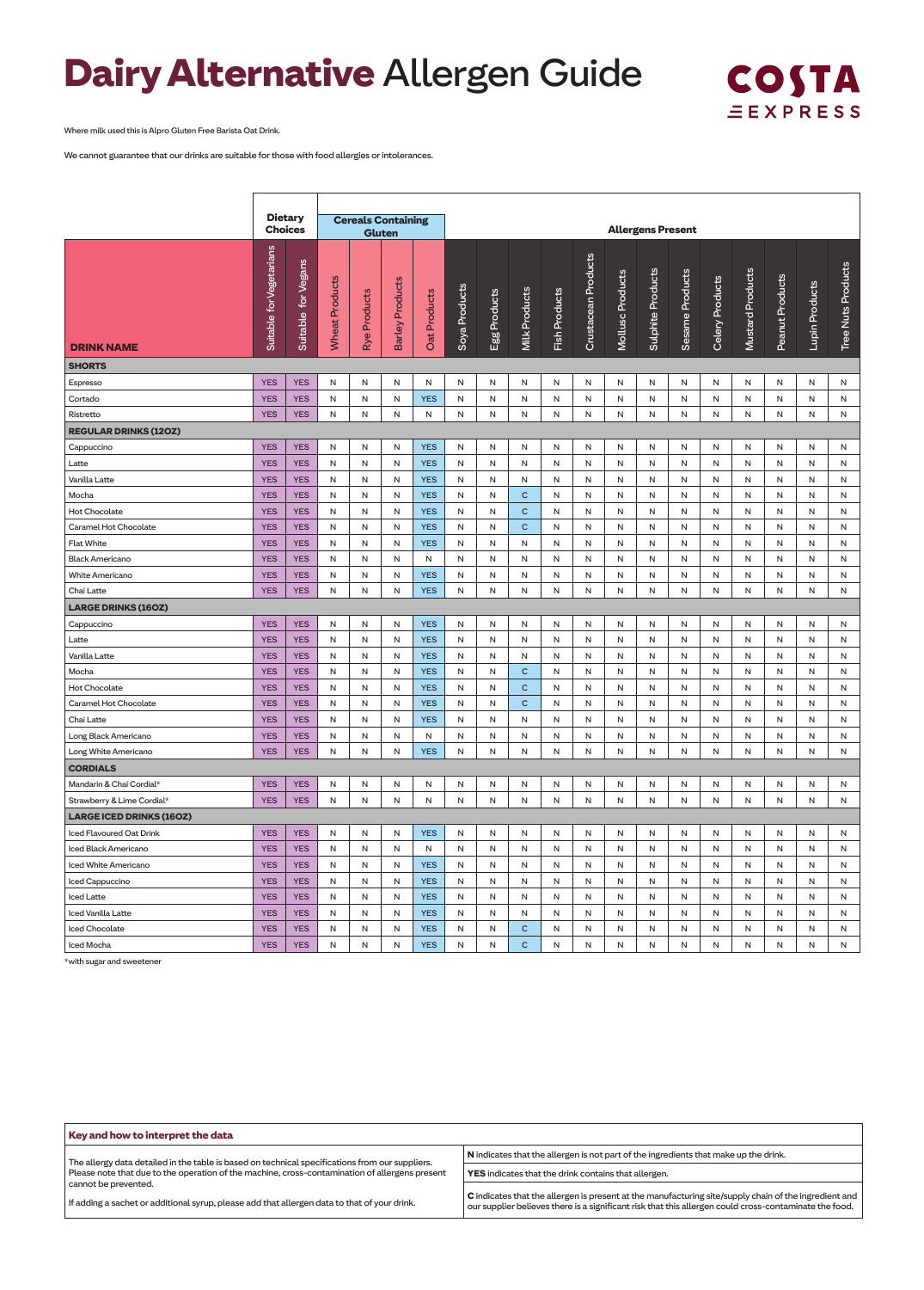## **Dairy Alternative** Allergen Guide



Where milk used this is Alpro Gluten Free Barista Oat Drink.

We cannot guarantee that our drinks are suitable for those with food allergies or intolerances.

|                                 | <b>Dietary</b>           |                        |                       |                 | <b>Cereals Containing</b> |              |               |              |                      |               |                     |                  |                          |                 |                 |                  |                 |                |                    |
|---------------------------------|--------------------------|------------------------|-----------------------|-----------------|---------------------------|--------------|---------------|--------------|----------------------|---------------|---------------------|------------------|--------------------------|-----------------|-----------------|------------------|-----------------|----------------|--------------------|
|                                 | <b>Choices</b>           |                        |                       | <b>Gluten</b>   |                           |              |               |              |                      |               |                     |                  | <b>Allergens Present</b> |                 |                 |                  |                 |                |                    |
| <b>DRINK NAME</b>               | Suitable for Vegetarians | for Vegans<br>Suitable | <b>Wheat Products</b> | Products<br>Rye | <b>Barley Products</b>    | Oat Products | Soya Products | Egg Products | <b>Milk Products</b> | Fish Products | Crustacean Products | Mollusc Products | Sulphite Products        | Sesame Products | Celery Products | Mustard Products | Peanut Products | Lupin Products | Tree Nuts Products |
| <b>SHORTS</b>                   |                          |                        |                       |                 |                           |              |               |              |                      |               |                     |                  |                          |                 |                 |                  |                 |                |                    |
| Espresso                        | <b>YES</b>               | <b>YES</b>             | Ν                     | N               | N                         | N            | N             | N            | N                    | N             | N                   | N                | N                        | N               | N               | N                | N               | N              | N                  |
| Cortado                         | <b>YES</b>               | <b>YES</b>             | N                     | N               | ${\sf N}$                 | <b>YES</b>   | ${\sf N}$     | N            | N                    | N             | N                   | N                | N                        | N               | N               | N                | N               | N              | N                  |
| Ristretto                       | <b>YES</b>               | <b>YES</b>             | Ν                     | Ν               | Ν                         | N            | Ν             | N            | N                    | N             | N                   | N                | N                        | N               | Ν               | N                | Ν               | N              | N                  |
| <b>REGULAR DRINKS (120Z)</b>    |                          |                        |                       |                 |                           |              |               |              |                      |               |                     |                  |                          |                 |                 |                  |                 |                |                    |
| Cappuccino                      | <b>YES</b>               | <b>YES</b>             | N                     | N               | Ν                         | <b>YES</b>   | Ν             | N            | N                    | N             | N                   | N                | N                        | N               | N               | N                | N               | N              | N                  |
| Latte                           | <b>YES</b>               | <b>YES</b>             | Ν                     | N               | ${\sf N}$                 | <b>YES</b>   | ${\sf N}$     | N            | N                    | N             | N                   | N                | N                        | N               | N               | N                | N               | N              | N                  |
| Vanilla Latte                   | <b>YES</b>               | <b>YES</b>             | N                     | N               | N                         | <b>YES</b>   | N             | N            | N                    | N             | N                   | N                | N                        | N               | N               | N                | N               | N              | N                  |
| Mocha                           | <b>YES</b>               | <b>YES</b>             | Ν                     | N               | Ν                         | <b>YES</b>   | Ν             | N            | $\mathsf{C}$         | N             | N                   | N                | N                        | N               | Ν               | N                | Ν               | N              | Ν                  |
| <b>Hot Chocolate</b>            | <b>YES</b>               | <b>YES</b>             | ${\sf N}$             | N               | ${\sf N}$                 | <b>YES</b>   | ${\sf N}$     | N            | $\mathsf{C}$         | N             | N                   | N                | N                        | N               | N               | N                | N               | N              | N                  |
| Caramel Hot Chocolate           | <b>YES</b>               | <b>YES</b>             | N                     | $\mathsf{N}$    | $\mathsf{N}$              | <b>YES</b>   | $\mathsf{N}$  | N            | $\mathsf{C}$         | N             | N                   | N                | N                        | N               | N               | N                | N               | N              | N                  |
| <b>Flat White</b>               | <b>YES</b>               | <b>YES</b>             | N                     | Ν               | Ν                         | <b>YES</b>   | Ν             | N            | N                    | N             | N                   | N                | N                        | N               | N               | N                | N               | N              | N                  |
| <b>Black Americano</b>          | <b>YES</b>               | <b>YES</b>             | ${\sf N}$             | N               | ${\sf N}$                 | N            | ${\sf N}$     | N            | N                    | N             | N                   | N                | N                        | N               | N               | N                | N               | N              | N                  |
| White Americano                 | <b>YES</b>               | <b>YES</b>             | N                     | N               | $\mathsf{N}$              | <b>YES</b>   | N             | N            | N                    | N             | N                   | N                | N                        | N               | N               | N                | N               | N              | N                  |
| Chai Latte                      | <b>YES</b>               | <b>YES</b>             | N                     | N               | Ν                         | <b>YES</b>   | Ν             | N            | N                    | N             | N                   | N                | N                        | N               | Ν               | N                | N               | N              | N                  |
| <b>LARGE DRINKS (16OZ)</b>      |                          |                        |                       |                 |                           |              |               |              |                      |               |                     |                  |                          |                 |                 |                  |                 |                |                    |
| Cappuccino                      | <b>YES</b>               | <b>YES</b>             | Ν                     | Ν               | Ν                         | <b>YES</b>   | Ν             | N            | N                    | N             | N                   | N                | N                        | N               | N               | N                | Ν               | N              | N                  |
| Latte                           | <b>YES</b>               | <b>YES</b>             | ${\sf N}$             | N               | ${\sf N}$                 | <b>YES</b>   | ${\sf N}$     | N            | N                    | N             | N                   | N                | N                        | N               | N               | N                | N               | N              | N                  |
| Vanilla Latte                   | <b>YES</b>               | <b>YES</b>             | N                     | N               | N                         | <b>YES</b>   | Ν             | N            | N                    | N             | N                   | N                | N                        | N               | Ν               | N                | N               | N              | N                  |
| Mocha                           | <b>YES</b>               | <b>YES</b>             | Ν                     | Ν               | Ν                         | <b>YES</b>   | Ν             | N            | $\mathsf{C}$         | Ν             | N                   | N                | N                        | N               | Ν               | N                | Ν               | N              | Ν                  |
| <b>Hot Chocolate</b>            | <b>YES</b>               | <b>YES</b>             | N                     | N               | ${\sf N}$                 | <b>YES</b>   | ${\sf N}$     | N            | $\mathsf{C}$         | N             | N                   | N                | N                        | N               | N               | N                | N               | N              | N                  |
| Caramel Hot Chocolate           | <b>YES</b>               | <b>YES</b>             | N                     | N               | N                         | <b>YES</b>   | Ν             | N            | $\mathsf{C}$         | N             | N                   | N                | N                        | N               | N               | N                | N               | N              | N                  |
| Chai Latte                      | <b>YES</b>               | <b>YES</b>             | N                     | N               | ${\sf N}$                 | <b>YES</b>   | ${\sf N}$     | N            | N                    | N             | N                   | N                | N                        | N               | N               | N                | N               | N              | N                  |
| Long Black Americano            | <b>YES</b>               | <b>YES</b>             | N                     | N               | N                         | N            | N             | N            | N                    | N             | N                   | N                | N                        | N               | N               | N                | ${\sf N}$       | ${\sf N}$      | N                  |
| Long White Americano            | <b>YES</b>               | <b>YES</b>             | N                     | N               | N                         | <b>YES</b>   | N             | N            | N                    | N             | N                   | N                | N                        | N               | N               | N                | N               | N              | N                  |
| <b>CORDIALS</b>                 |                          |                        |                       |                 |                           |              |               |              |                      |               |                     |                  |                          |                 |                 |                  |                 |                |                    |
| Mandarin & Chai Cordial*        | <b>YES</b>               | <b>YES</b>             | Ν                     | N               | Ν                         | N            | N             | N            | N                    | N             | N                   | N                | N                        | N               | N               | N                | N               | N              | N                  |
| Strawberry & Lime Cordial*      | <b>YES</b>               | <b>YES</b>             | N                     | N               | N                         | N            | N             | N            | N                    | N             | N                   | N                | N                        | N               | N               | N                | N               | N              | N                  |
| <b>LARGE ICED DRINKS (160Z)</b> |                          |                        |                       |                 |                           |              |               |              |                      |               |                     |                  |                          |                 |                 |                  |                 |                |                    |
| Iced Flavoured Oat Drink        | <b>YES</b>               | <b>YES</b>             | N                     | N               | N                         | <b>YES</b>   | N             | N            | N                    | N             | N                   | N                | N                        | N               | N               | N                | N               | N              | N                  |
| Iced Black Americano            | <b>YES</b>               | <b>YES</b>             | N                     | N               | N                         | N            | N             | N            | N                    | N             | N                   | N                | N                        | N               | N               | N                | N               | N              | N                  |
| Iced White Americano            | <b>YES</b>               | <b>YES</b>             | N                     | N               | N                         | <b>YES</b>   | N             | N            | N                    | N             | N                   | N                | N                        | N               | N               | N                | N               | N              | N                  |
| Iced Cappuccino                 | <b>YES</b>               | <b>YES</b>             | N                     | N               | N                         | <b>YES</b>   | N             | N            | N                    | N             | N                   | N                | N                        | N               | N               | N                | N               | N              | N                  |
| <b>Iced Latte</b>               | <b>YES</b>               | <b>YES</b>             | N                     | $\mathsf{N}$    | N                         | <b>YES</b>   | N             | N            | N                    | N             | N                   | N                | N                        | N               | N               | N                | $\mathsf{N}$    | N              | N                  |
| Iced Vanilla Latte              | <b>YES</b>               | <b>YES</b>             | N                     | N               | N                         | <b>YES</b>   | N             | N            | N                    | N             | N                   | N                | N                        | N               | N               | N                | N               | N              | N                  |
| Iced Chocolate                  | <b>YES</b>               | <b>YES</b>             | N                     | N               | N                         | <b>YES</b>   | N             | N            | $\mathsf{C}$         | N             | ${\sf N}$           | N                | ${\sf N}$                | N               | $\mathsf N$     | N                | N               | N              | N                  |
| Iced Mocha                      | <b>YES</b>               | <b>YES</b>             | N                     | N               | N                         | <b>YES</b>   | N             | N            | $\mathsf{C}$         | N             | N                   | N                | N                        | N               | N               | N                | N               | N              | N                  |

\*with sugar and sweetener

| Key and how to interpret the data                                                                                    |                                                                                                                                                                                                                 |  |  |  |  |  |  |  |  |  |  |
|----------------------------------------------------------------------------------------------------------------------|-----------------------------------------------------------------------------------------------------------------------------------------------------------------------------------------------------------------|--|--|--|--|--|--|--|--|--|--|
| The allergy data detailed in the table is based on technical specifications from our suppliers.                      | N indicates that the allergen is not part of the ingredients that make up the drink.                                                                                                                            |  |  |  |  |  |  |  |  |  |  |
| Please note that due to the operation of the machine, cross-contamination of allergens present                       | YES indicates that the drink contains that allergen.                                                                                                                                                            |  |  |  |  |  |  |  |  |  |  |
| cannot be prevented.<br>If adding a sachet or additional syrup, please add that allergen data to that of your drink. | C indicates that the allergen is present at the manufacturing site/supply chain of the ingredient and<br>our supplier believes there is a significant risk that this allergen could cross-contaminate the food. |  |  |  |  |  |  |  |  |  |  |